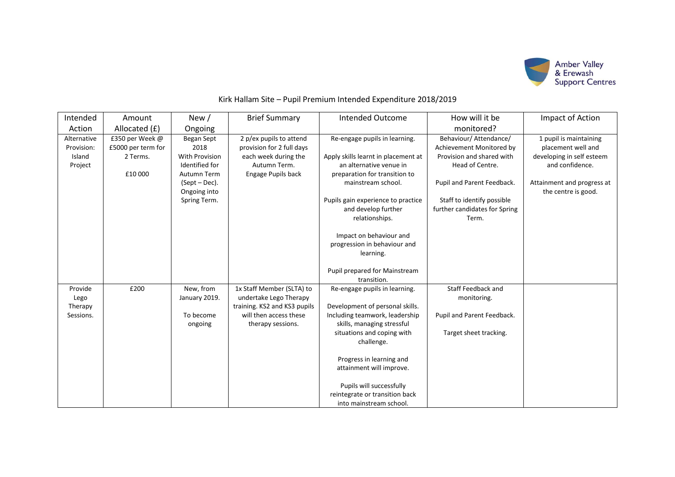

## Kirk Hallam Site – Pupil Premium Intended Expenditure 2018/2019

| Intended                                       | Amount                                                       | New/                                                                                                                          | <b>Brief Summary</b>                                                                                                               | Intended Outcome                                                                                                                                                                                                                                                                                 | How will it be                                                                                                                                                                                           | Impact of Action                                                                                                                                  |
|------------------------------------------------|--------------------------------------------------------------|-------------------------------------------------------------------------------------------------------------------------------|------------------------------------------------------------------------------------------------------------------------------------|--------------------------------------------------------------------------------------------------------------------------------------------------------------------------------------------------------------------------------------------------------------------------------------------------|----------------------------------------------------------------------------------------------------------------------------------------------------------------------------------------------------------|---------------------------------------------------------------------------------------------------------------------------------------------------|
| Action                                         | Allocated (£)                                                | Ongoing                                                                                                                       |                                                                                                                                    |                                                                                                                                                                                                                                                                                                  | monitored?                                                                                                                                                                                               |                                                                                                                                                   |
| Alternative<br>Provision:<br>Island<br>Project | £350 per Week @<br>£5000 per term for<br>2 Terms.<br>£10 000 | Began Sept<br>2018<br><b>With Provision</b><br>Identified for<br>Autumn Term<br>$(Sept-Dec).$<br>Ongoing into<br>Spring Term. | 2 p/ex pupils to attend<br>provision for 2 full days<br>each week during the<br>Autumn Term.<br>Engage Pupils back                 | Re-engage pupils in learning.<br>Apply skills learnt in placement at<br>an alternative venue in<br>preparation for transition to<br>mainstream school.<br>Pupils gain experience to practice<br>and develop further<br>relationships.<br>Impact on behaviour and<br>progression in behaviour and | Behaviour/ Attendance/<br>Achievement Monitored by<br>Provision and shared with<br>Head of Centre.<br>Pupil and Parent Feedback.<br>Staff to identify possible<br>further candidates for Spring<br>Term. | 1 pupil is maintaining<br>placement well and<br>developing in self esteem<br>and confidence.<br>Attainment and progress at<br>the centre is good. |
|                                                |                                                              |                                                                                                                               |                                                                                                                                    | learning.<br>Pupil prepared for Mainstream<br>transition.                                                                                                                                                                                                                                        |                                                                                                                                                                                                          |                                                                                                                                                   |
| Provide<br>Lego<br>Therapy<br>Sessions.        | £200                                                         | New, from<br>January 2019.<br>To become<br>ongoing                                                                            | 1x Staff Member (SLTA) to<br>undertake Lego Therapy<br>training. KS2 and KS3 pupils<br>will then access these<br>therapy sessions. | Re-engage pupils in learning.<br>Development of personal skills.<br>Including teamwork, leadership<br>skills, managing stressful<br>situations and coping with<br>challenge.                                                                                                                     | Staff Feedback and<br>monitoring.<br>Pupil and Parent Feedback.<br>Target sheet tracking.                                                                                                                |                                                                                                                                                   |
|                                                |                                                              |                                                                                                                               |                                                                                                                                    | Progress in learning and<br>attainment will improve.<br>Pupils will successfully<br>reintegrate or transition back<br>into mainstream school.                                                                                                                                                    |                                                                                                                                                                                                          |                                                                                                                                                   |